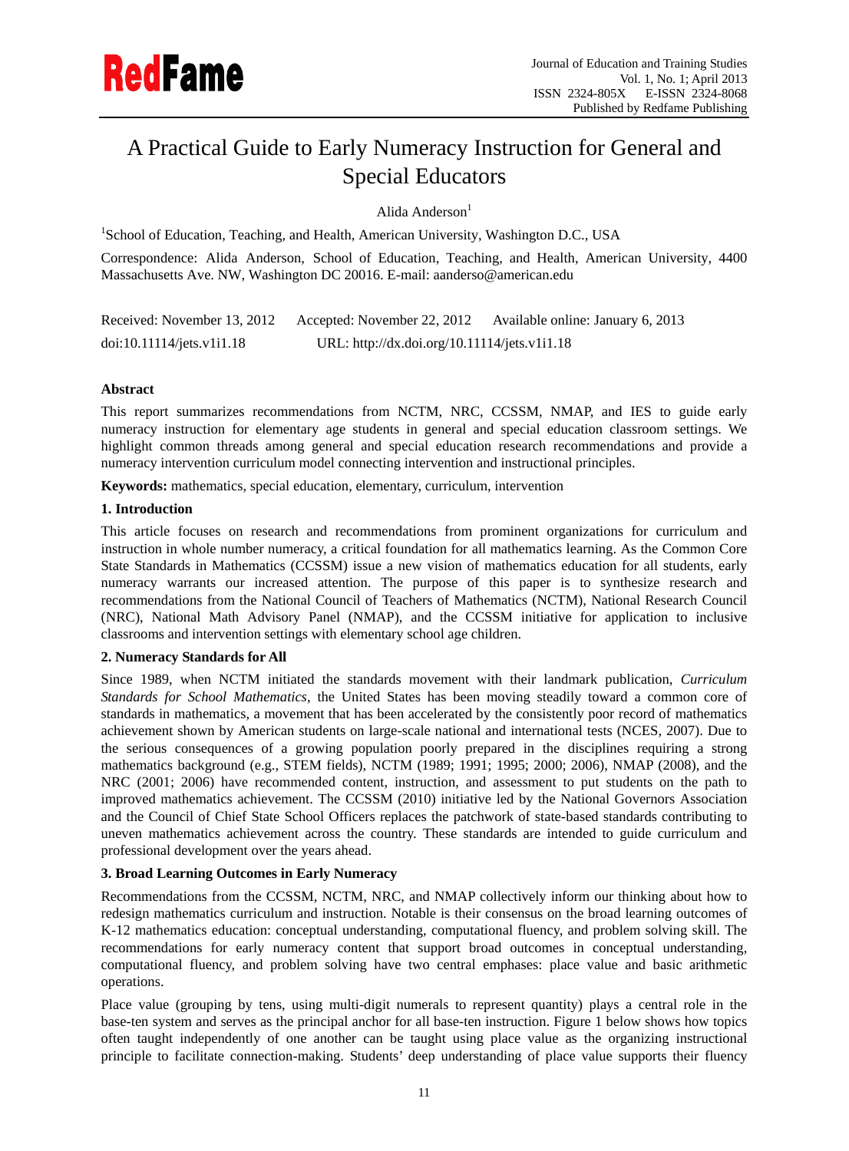# A Practical Guide to Early Numeracy Instruction for General and Special Educators

Alida Anderson $<sup>1</sup>$ </sup>

<sup>1</sup>School of Education, Teaching, and Health, American University, Washington D.C., USA

Correspondence: Alida Anderson, School of Education, Teaching, and Health, American University, 4400 Massachusetts Ave. NW, Washington DC 20016. E-mail: aanderso@american.edu

| Received: November 13, 2012 | Accepted: November 22, 2012                  | Available online: January 6, 2013 |
|-----------------------------|----------------------------------------------|-----------------------------------|
| doi:10.11114/jets.v1i1.18   | URL: http://dx.doi.org/10.11114/jets.v1i1.18 |                                   |

# **Abstract**

This report summarizes recommendations from NCTM, NRC, CCSSM, NMAP, and IES to guide early numeracy instruction for elementary age students in general and special education classroom settings. We highlight common threads among general and special education research recommendations and provide a numeracy intervention curriculum model connecting intervention and instructional principles.

**Keywords:** mathematics, special education, elementary, curriculum, intervention

## **1. Introduction**

This article focuses on research and recommendations from prominent organizations for curriculum and instruction in whole number numeracy, a critical foundation for all mathematics learning. As the Common Core State Standards in Mathematics (CCSSM) issue a new vision of mathematics education for all students, early numeracy warrants our increased attention. The purpose of this paper is to synthesize research and recommendations from the National Council of Teachers of Mathematics (NCTM), National Research Council (NRC), National Math Advisory Panel (NMAP), and the CCSSM initiative for application to inclusive classrooms and intervention settings with elementary school age children.

# **2. Numeracy Standards for All**

Since 1989, when NCTM initiated the standards movement with their landmark publication, *Curriculum Standards for School Mathematics*, the United States has been moving steadily toward a common core of standards in mathematics, a movement that has been accelerated by the consistently poor record of mathematics achievement shown by American students on large-scale national and international tests (NCES, 2007). Due to the serious consequences of a growing population poorly prepared in the disciplines requiring a strong mathematics background (e.g., STEM fields), NCTM (1989; 1991; 1995; 2000; 2006), NMAP (2008), and the NRC (2001; 2006) have recommended content, instruction, and assessment to put students on the path to improved mathematics achievement. The CCSSM (2010) initiative led by the National Governors Association and the Council of Chief State School Officers replaces the patchwork of state-based standards contributing to uneven mathematics achievement across the country. These standards are intended to guide curriculum and professional development over the years ahead.

#### **3. Broad Learning Outcomes in Early Numeracy**

Recommendations from the CCSSM, NCTM, NRC, and NMAP collectively inform our thinking about how to redesign mathematics curriculum and instruction. Notable is their consensus on the broad learning outcomes of K-12 mathematics education: conceptual understanding, computational fluency, and problem solving skill. The recommendations for early numeracy content that support broad outcomes in conceptual understanding, computational fluency, and problem solving have two central emphases: place value and basic arithmetic operations.

Place value (grouping by tens, using multi-digit numerals to represent quantity) plays a central role in the base-ten system and serves as the principal anchor for all base-ten instruction. Figure 1 below shows how topics often taught independently of one another can be taught using place value as the organizing instructional principle to facilitate connection-making. Students' deep understanding of place value supports their fluency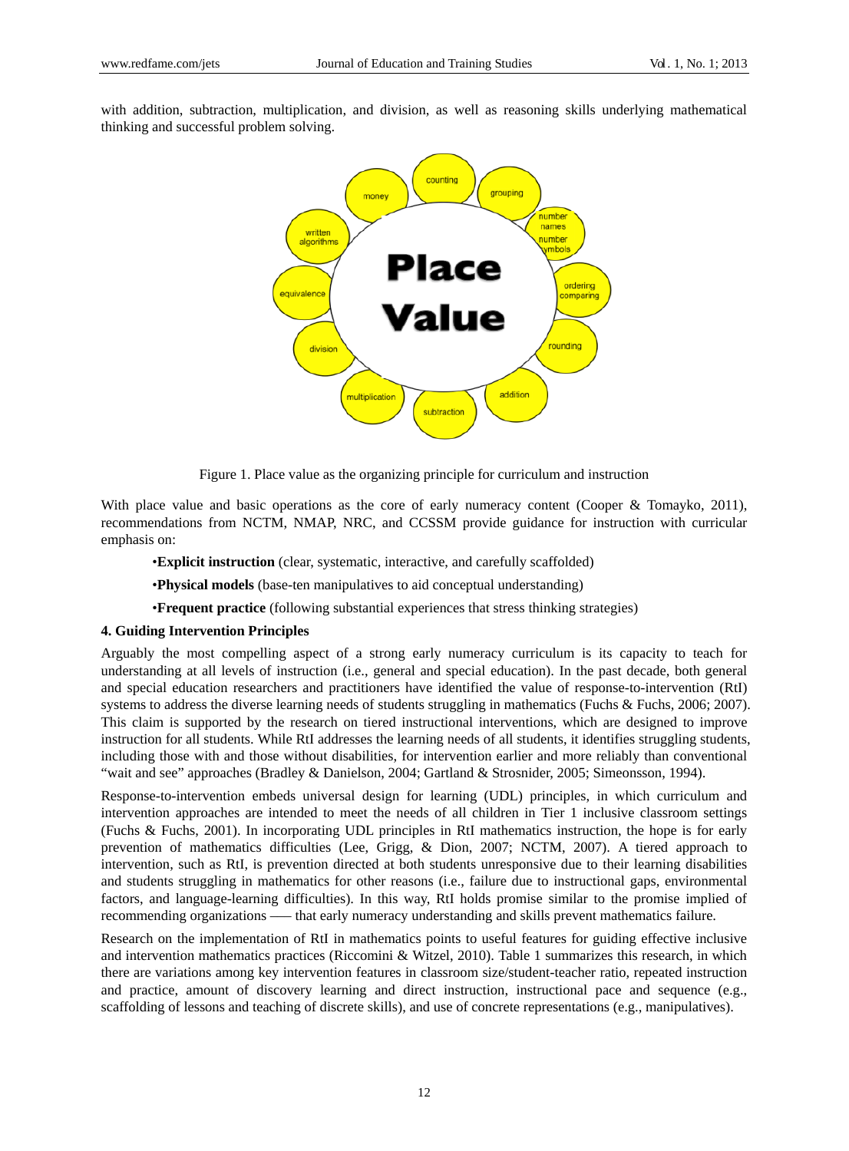with addition, subtraction, multiplication, and division, as well as reasoning skills underlying mathematical thinking and successful problem solving.



Figure 1. Place value as the organizing principle for curriculum and instruction

With place value and basic operations as the core of early numeracy content (Cooper & Tomayko, 2011), recommendations from NCTM, NMAP, NRC, and CCSSM provide guidance for instruction with curricular emphasis on:

•**Explicit instruction** (clear, systematic, interactive, and carefully scaffolded)

•**Physical models** (base-ten manipulatives to aid conceptual understanding)

•**Frequent practice** (following substantial experiences that stress thinking strategies)

## **4. Guiding Intervention Principles**

Arguably the most compelling aspect of a strong early numeracy curriculum is its capacity to teach for understanding at all levels of instruction (i.e., general and special education). In the past decade, both general and special education researchers and practitioners have identified the value of response-to-intervention (RtI) systems to address the diverse learning needs of students struggling in mathematics (Fuchs & Fuchs, 2006; 2007). This claim is supported by the research on tiered instructional interventions, which are designed to improve instruction for all students. While RtI addresses the learning needs of all students, it identifies struggling students, including those with and those without disabilities, for intervention earlier and more reliably than conventional "wait and see" approaches (Bradley & Danielson, 2004; Gartland & Strosnider, 2005; Simeonsson, 1994).

Response-to-intervention embeds universal design for learning (UDL) principles, in which curriculum and intervention approaches are intended to meet the needs of all children in Tier 1 inclusive classroom settings (Fuchs & Fuchs, 2001). In incorporating UDL principles in RtI mathematics instruction, the hope is for early prevention of mathematics difficulties (Lee, Grigg, & Dion, 2007; NCTM, 2007). A tiered approach to intervention, such as RtI, is prevention directed at both students unresponsive due to their learning disabilities and students struggling in mathematics for other reasons (i.e., failure due to instructional gaps, environmental factors, and language-learning difficulties). In this way, RtI holds promise similar to the promise implied of recommending organizations ––– that early numeracy understanding and skills prevent mathematics failure.

Research on the implementation of RtI in mathematics points to useful features for guiding effective inclusive and intervention mathematics practices (Riccomini & Witzel, 2010). Table 1 summarizes this research, in which there are variations among key intervention features in classroom size/student-teacher ratio, repeated instruction and practice, amount of discovery learning and direct instruction, instructional pace and sequence (e.g., scaffolding of lessons and teaching of discrete skills), and use of concrete representations (e.g., manipulatives).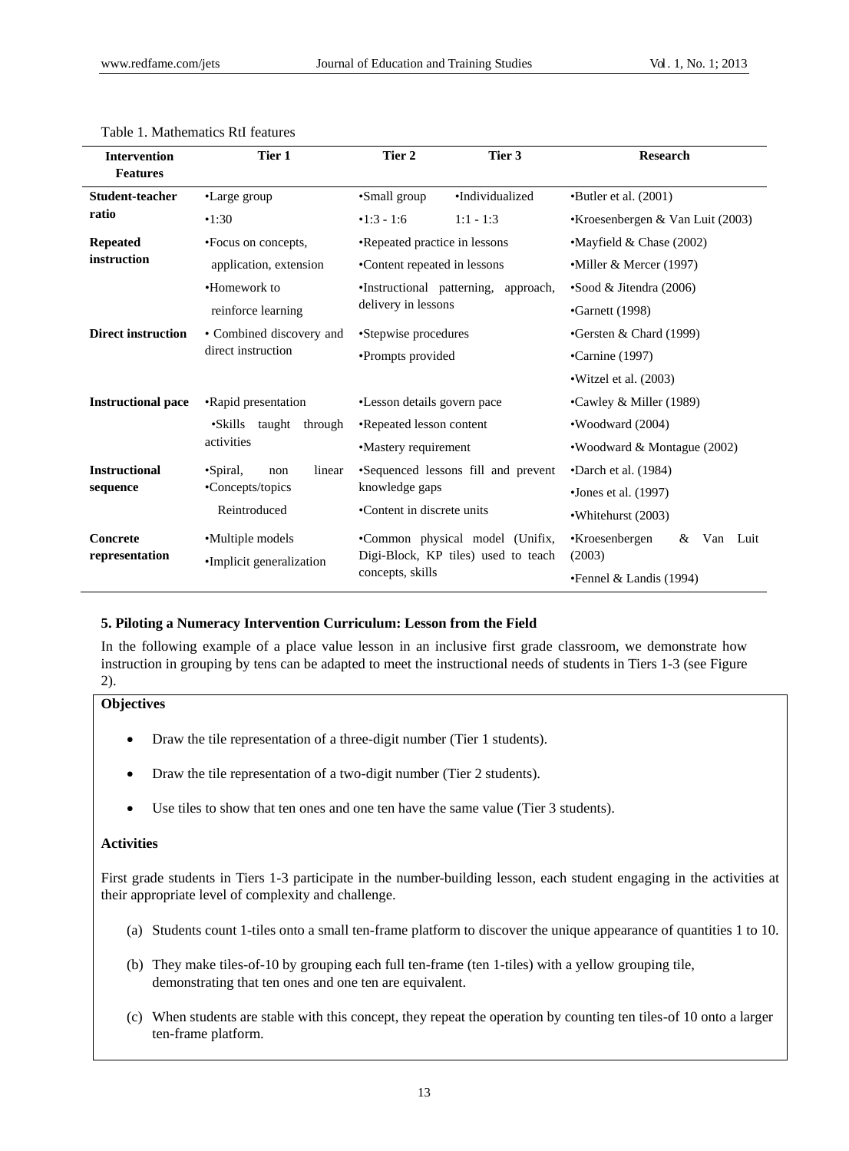| <b>Intervention</b><br><b>Features</b>                     | Tier 1<br>Tier 2                   |                                                                                            | Tier 3          | <b>Research</b>                    |  |  |  |
|------------------------------------------------------------|------------------------------------|--------------------------------------------------------------------------------------------|-----------------|------------------------------------|--|--|--|
| Student-teacher                                            | •Large group                       | •Small group                                                                               | •Individualized | $\bullet$ Butler et al. (2001)     |  |  |  |
| ratio                                                      | •1:30                              | $•1:3 - 1:6$                                                                               | $1:1 - 1:3$     | •Kroesenbergen & Van Luit $(2003)$ |  |  |  |
| <b>Repeated</b>                                            | •Focus on concepts,                | •Repeated practice in lessons                                                              |                 | $\cdot$ Mayfield & Chase (2002)    |  |  |  |
| instruction                                                | application, extension             | •Content repeated in lessons                                                               |                 | •Miller & Mercer (1997)            |  |  |  |
|                                                            | •Homework to                       | •Instructional patterning, approach,                                                       |                 | $\bullet$ Sood & Jitendra (2006)   |  |  |  |
|                                                            | reinforce learning                 | delivery in lessons                                                                        |                 | $\cdot$ Garnett (1998)             |  |  |  |
| <b>Direct instruction</b>                                  | • Combined discovery and           | •Stepwise procedures                                                                       |                 | Gersten & Chard $(1999)$           |  |  |  |
|                                                            | direct instruction                 | •Prompts provided                                                                          |                 | $\bullet$ Carnine (1997)           |  |  |  |
|                                                            |                                    |                                                                                            |                 | $\cdot$ Witzel et al. (2003)       |  |  |  |
| <b>Instructional pace</b>                                  | •Rapid presentation                | •Lesson details govern pace<br>•Repeated lesson content                                    |                 | •Cawley & Miller (1989)            |  |  |  |
|                                                            | $\bullet$ Skills<br>taught through |                                                                                            |                 | •Woodward (2004)                   |  |  |  |
|                                                            | activities                         | •Mastery requirement                                                                       |                 | •Woodward & Montague (2002)        |  |  |  |
| <b>Instructional</b><br>$\bullet$ Spiral,<br>linear<br>non |                                    | •Sequenced lessons fill and prevent                                                        |                 | $\bullet$ Darch et al. (1984)      |  |  |  |
| sequence                                                   | •Concepts/topics                   | knowledge gaps<br>•Content in discrete units                                               |                 | •Jones et al. $(1997)$             |  |  |  |
|                                                            | Reintroduced                       |                                                                                            |                 | •Whitehurst (2003)                 |  |  |  |
| Concrete                                                   | •Multiple models                   | •Common physical model (Unifix,<br>Digi-Block, KP tiles) used to teach<br>concepts, skills |                 | Van Luit<br>•Kroesenbergen<br>&    |  |  |  |
| representation                                             | •Implicit generalization           |                                                                                            |                 | (2003)                             |  |  |  |
|                                                            |                                    |                                                                                            |                 | $\bullet$ Fennel & Landis (1994)   |  |  |  |

#### Table 1. Mathematics RtI features

#### **5. Piloting a Numeracy Intervention Curriculum: Lesson from the Field**

In the following example of a place value lesson in an inclusive first grade classroom, we demonstrate how instruction in grouping by tens can be adapted to meet the instructional needs of students in Tiers 1-3 (see Figure 2).

#### **Objectives**

- Draw the tile representation of a three-digit number (Tier 1 students).
- Draw the tile representation of a two-digit number (Tier 2 students).
- Use tiles to show that ten ones and one ten have the same value (Tier 3 students).

## **Activities**

First grade students in Tiers 1-3 participate in the number-building lesson, each student engaging in the activities at their appropriate level of complexity and challenge.

- (a) Students count 1-tiles onto a small ten-frame platform to discover the unique appearance of quantities 1 to 10.
- (b) They make tiles-of-10 by grouping each full ten-frame (ten 1-tiles) with a yellow grouping tile, demonstrating that ten ones and one ten are equivalent.
- (c) When students are stable with this concept, they repeat the operation by counting ten tiles-of 10 onto a larger ten-frame platform.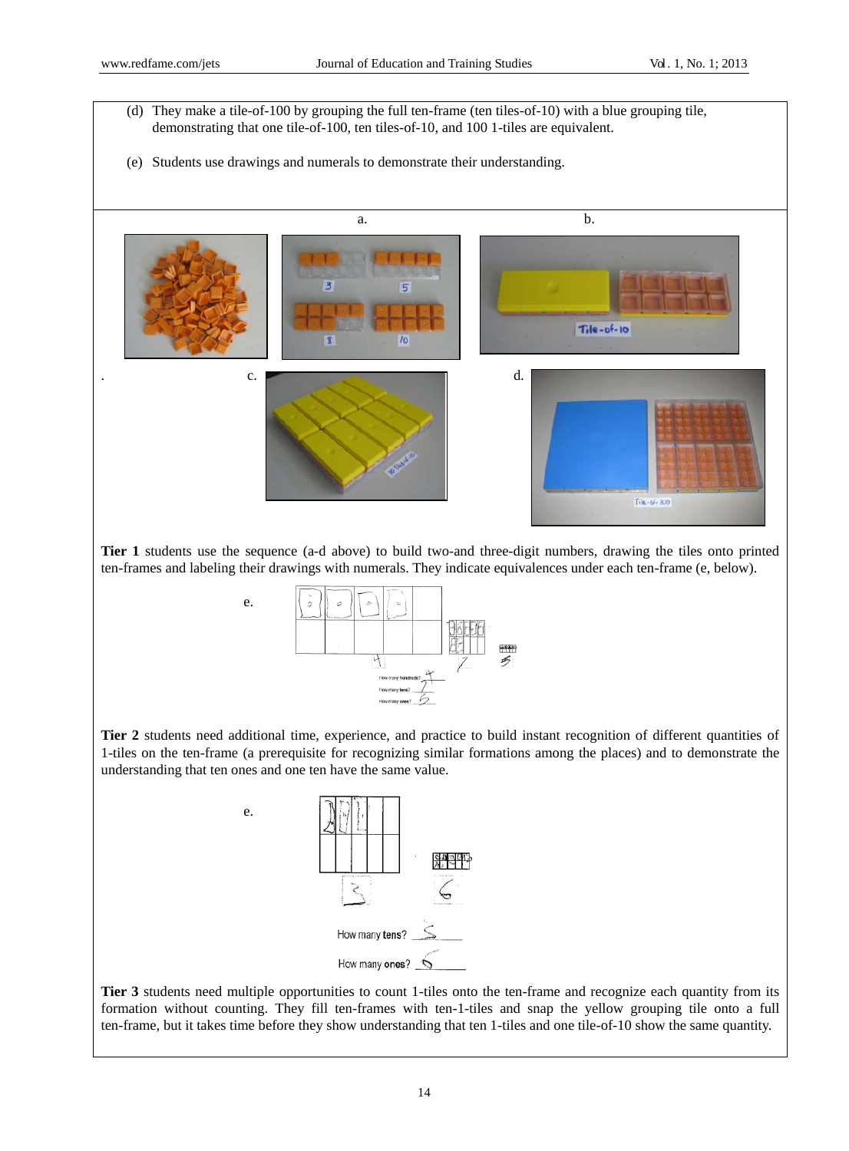e.

- (d) They make a tile-of-100 by grouping the full ten-frame (ten tiles-of-10) with a blue grouping tile, demonstrating that one tile-of-100, ten tiles-of-10, and 100 1-tiles are equivalent.
- (e) Students use drawings and numerals to demonstrate their understanding.



**Tier 1** students use the sequence (a-d above) to build two-and three-digit numbers, drawing the tiles onto printed ten-frames and labeling their drawings with numerals. They indicate equivalences under each ten-frame (e, below).



**Tier 2** students need additional time, experience, and practice to build instant recognition of different quantities of 1-tiles on the ten-frame (a prerequisite for recognizing similar formations among the places) and to demonstrate the understanding that ten ones and one ten have the same value.



**Tier 3** students need multiple opportunities to count 1-tiles onto the ten-frame and recognize each quantity from its formation without counting. They fill ten-frames with ten-1-tiles and snap the yellow grouping tile onto a full ten-frame, but it takes time before they show understanding that ten 1-tiles and one tile-of-10 show the same quantity.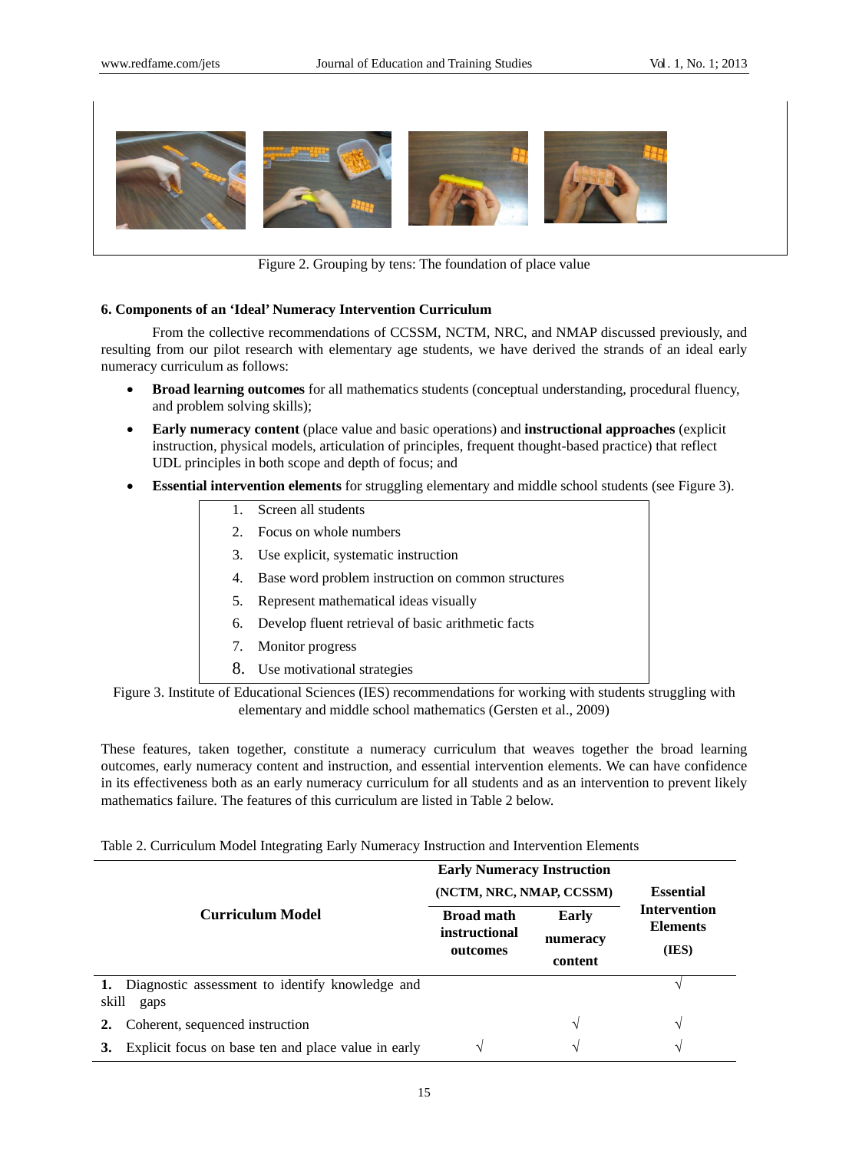

Figure 2. Grouping by tens: The foundation of place value

## **6. Components of an 'Ideal' Numeracy Intervention Curriculum**

From the collective recommendations of CCSSM, NCTM, NRC, and NMAP discussed previously, and resulting from our pilot research with elementary age students, we have derived the strands of an ideal early numeracy curriculum as follows:

- **Broad learning outcomes** for all mathematics students (conceptual understanding, procedural fluency, and problem solving skills);
- **Early numeracy content** (place value and basic operations) and **instructional approaches** (explicit instruction, physical models, articulation of principles, frequent thought-based practice) that reflect UDL principles in both scope and depth of focus; and
- **Essential intervention elements** for struggling elementary and middle school students (see Figure 3).
	- 1. Screen all students
	- 2. Focus on whole numbers
	- 3. Use explicit, systematic instruction
	- 4. Base word problem instruction on common structures
	- 5. Represent mathematical ideas visually
	- 6. Develop fluent retrieval of basic arithmetic facts
	- 7. Monitor progress
	- 8. Use motivational strategies
- Figure 3. Institute of Educational Sciences (IES) recommendations for working with students struggling with elementary and middle school mathematics (Gersten et al., 2009)

These features, taken together, constitute a numeracy curriculum that weaves together the broad learning outcomes, early numeracy content and instruction, and essential intervention elements. We can have confidence in its effectiveness both as an early numeracy curriculum for all students and as an intervention to prevent likely mathematics failure. The features of this curriculum are listed in Table 2 below.

|  |  |  |  |  | Table 2. Curriculum Model Integrating Early Numeracy Instruction and Intervention Elements |  |  |
|--|--|--|--|--|--------------------------------------------------------------------------------------------|--|--|
|  |  |  |  |  |                                                                                            |  |  |

|                         |                                                            | <b>Early Numeracy Instruction</b><br>(NCTM, NRC, NMAP, CCSSM) | <b>Essential</b>             |                                                 |  |
|-------------------------|------------------------------------------------------------|---------------------------------------------------------------|------------------------------|-------------------------------------------------|--|
| <b>Curriculum Model</b> |                                                            | <b>Broad math</b><br><i>instructional</i><br>outcomes         | Early<br>numeracy<br>content | <b>Intervention</b><br><b>Elements</b><br>(IES) |  |
| skill                   | 1. Diagnostic assessment to identify knowledge and<br>gaps |                                                               |                              |                                                 |  |
|                         | Coherent, sequenced instruction                            |                                                               | V                            | N                                               |  |
| 3.                      | Explicit focus on base ten and place value in early        | $\mathcal{N}$                                                 | $\mathcal{L}$                | V                                               |  |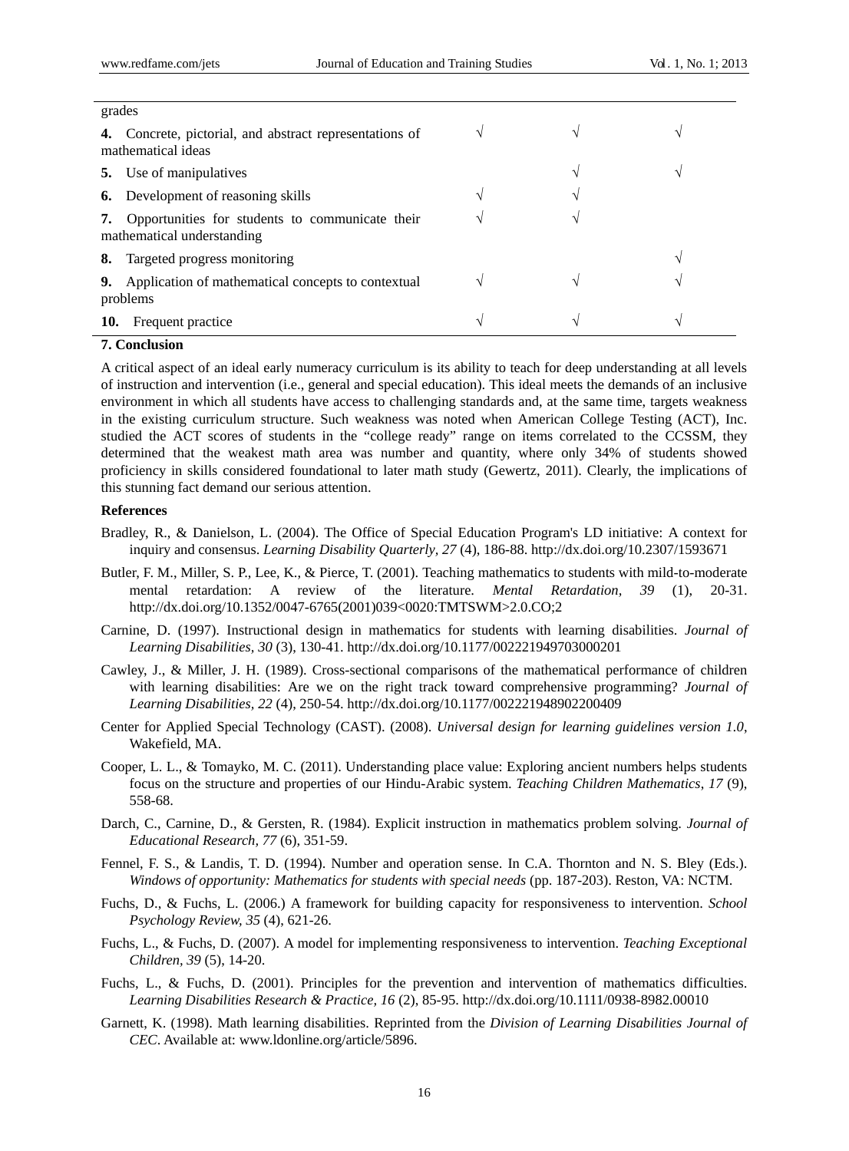|     | grades                                                                        |               |    |  |  |  |  |  |  |
|-----|-------------------------------------------------------------------------------|---------------|----|--|--|--|--|--|--|
| 4.  | Concrete, pictorial, and abstract representations of<br>mathematical ideas    | N             | ٦Ι |  |  |  |  |  |  |
| 5.  | Use of manipulatives                                                          |               |    |  |  |  |  |  |  |
|     | <b>6.</b> Development of reasoning skills                                     | ٦             |    |  |  |  |  |  |  |
| 7.  | Opportunities for students to communicate their<br>mathematical understanding | ٦             |    |  |  |  |  |  |  |
|     | 8. Targeted progress monitoring                                               |               |    |  |  |  |  |  |  |
| 9.  | Application of mathematical concepts to contextual<br>problems                | $\mathcal{L}$ |    |  |  |  |  |  |  |
| 10. | Frequent practice                                                             | $\mathcal{L}$ |    |  |  |  |  |  |  |

# **7. Conclusion**

A critical aspect of an ideal early numeracy curriculum is its ability to teach for deep understanding at all levels of instruction and intervention (i.e., general and special education). This ideal meets the demands of an inclusive environment in which all students have access to challenging standards and, at the same time, targets weakness in the existing curriculum structure. Such weakness was noted when American College Testing (ACT), Inc. studied the ACT scores of students in the "college ready" range on items correlated to the CCSSM, they determined that the weakest math area was number and quantity, where only 34% of students showed proficiency in skills considered foundational to later math study (Gewertz, 2011). Clearly, the implications of this stunning fact demand our serious attention.

#### **References**

- Bradley, R., & Danielson, L. (2004). The Office of Special Education Program's LD initiative: A context for inquiry and consensus. *Learning Disability Quarterly, 27* (4), 186-88. [http://dx.doi.org/10.2307/1593671](http://dx.doi.org/10.2307%2F1593671)
- Butler, F. M., Miller, S. P., Lee, K., & Pierce, T. (2001). Teaching mathematics to students with mild-to-moderate mental retardation: A review of the literature. *Mental Retardation, 39* (1), 20-31. [http://dx.doi.org/10.1352/0047-6765\(2001\)039<0020:TMTSWM>2.0.CO;2](http://dx.doi.org/10.1352%2F0047-6765%282001%29039%3C0020%3ATMTSWM%3E2.0.CO%3B2)
- Carnine, D. (1997). Instructional design in mathematics for students with learning disabilities. *Journal of Learning Disabilities, 30* (3), 130-41[. http://dx.doi.org/10.1177/002221949703000201](http://dx.doi.org/10.1177%2F002221949703000201)
- Cawley, J., & Miller, J. H. (1989). Cross-sectional comparisons of the mathematical performance of children with learning disabilities: Are we on the right track toward comprehensive programming? *Journal of Learning Disabilities, 22* (4), 250-54[. http://dx.doi.org/10.1177/002221948902200409](http://dx.doi.org/10.1177%2F002221948902200409)
- Center for Applied Special Technology (CAST). (2008). *Universal design for learning guidelines version 1.0*, Wakefield, MA.
- Cooper, L. L., & Tomayko, M. C. (2011). Understanding place value: Exploring ancient numbers helps students focus on the structure and properties of our Hindu-Arabic system. *Teaching Children Mathematics*, *17* (9), 558-68.
- Darch, C., Carnine, D., & Gersten, R. (1984). Explicit instruction in mathematics problem solving. *Journal of Educational Research, 77* (6), 351-59.
- Fennel, F. S., & Landis, T. D. (1994). Number and operation sense. In C.A. Thornton and N. S. Bley (Eds.). *Windows of opportunity: Mathematics for students with special needs* (pp. 187-203). Reston, VA: NCTM.
- Fuchs, D., & Fuchs, L. (2006.) A framework for building capacity for responsiveness to intervention. *School Psychology Review, 35* (4), 621-26.
- Fuchs, L., & Fuchs, D. (2007). A model for implementing responsiveness to intervention. *Teaching Exceptional Children, 39* (5), 14-20.
- Fuchs, L., & Fuchs, D. (2001). Principles for the prevention and intervention of mathematics difficulties. *Learning Disabilities Research & Practice, 16* (2), 85-95[. http://dx.doi.org/10.1111/0938-8982.00010](http://dx.doi.org/10.1111%2F0938-8982.00010)
- Garnett, K. (1998). Math learning disabilities. Reprinted from the *Division of Learning Disabilities Journal of CEC*. Available at: [www.ldonline.org/article/5896.](http://www.ldonline.org/article/5896)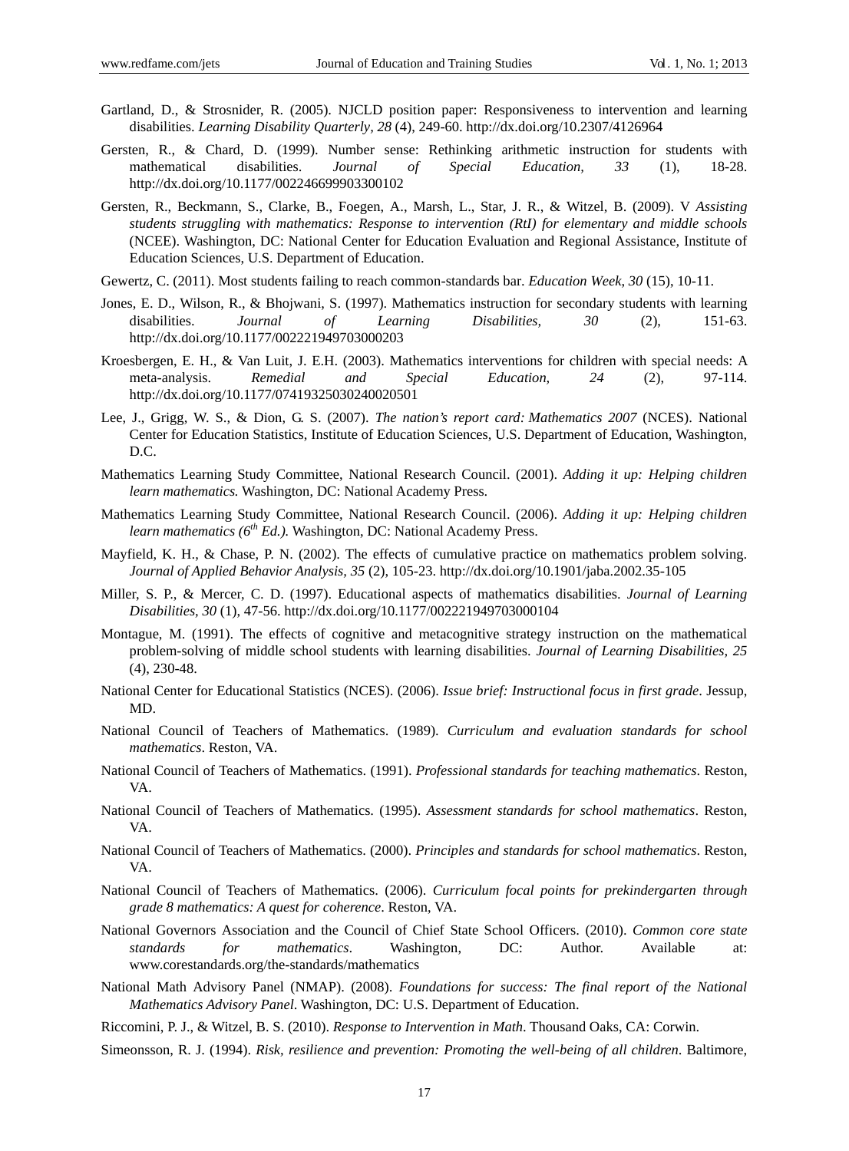- Gartland, D., & Strosnider, R. (2005). NJCLD position paper: Responsiveness to intervention and learning disabilities. *Learning Disability Quarterly, 28* (4), 249-60. [http://dx.doi.org/10.2307/4126964](http://dx.doi.org/10.2307%2F4126964)
- Gersten, R., & Chard, D. (1999). Number sense: Rethinking arithmetic instruction for students with mathematical disabilities. *Journal of Special Education, 33* (1), 18-28. [http://dx.doi.org/10.1177/002246699903300102](http://dx.doi.org/10.1177%2F002246699903300102)
- Gersten, R., Beckmann, S., Clarke, B., Foegen, A., Marsh, L., Star, J. R., & Witzel, B. (2009). V *Assisting students struggling with mathematics: Response to intervention (RtI) for elementary and middle schools*  (NCEE). Washington, DC: National Center for Education Evaluation and Regional Assistance, Institute of Education Sciences, U.S. Department of Education.
- Gewertz, C. (2011). Most students failing to reach common-standards bar. *Education Week*, *30* (15), 10-11.
- Jones, E. D., Wilson, R., & Bhojwani, S. (1997). Mathematics instruction for secondary students with learning disabilities. *Journal of Learning Disabilities, 30* (2), 151-63. [http://dx.doi.org/10.1177/002221949703000203](http://dx.doi.org/10.1177%2F002221949703000203)
- Kroesbergen, E. H., & Van Luit, J. E.H. (2003). Mathematics interventions for children with special needs: A meta-analysis. Remedial and Special Education, 24 (2), 97-114. meta-analysis. *Remedial and Special Education, 24* (2), 97-114. [http://dx.doi.org/10.1177/07419325030240020501](http://dx.doi.org/10.1177%2F07419325030240020501)
- Lee, J., Grigg, W. S., & Dion, G. S. (2007). *The nation's report card: Mathematics 2007* (NCES). National Center for Education Statistics, Institute of Education Sciences, U.S. Department of Education, Washington, D.C.
- Mathematics Learning Study Committee, National Research Council. (2001). *Adding it up: Helping children learn mathematics.* Washington, DC: National Academy Press.
- Mathematics Learning Study Committee, National Research Council. (2006). *Adding it up: Helping children learn mathematics (6th Ed.).* Washington, DC: National Academy Press.
- Mayfield, K. H., & Chase, P. N. (2002). The effects of cumulative practice on mathematics problem solving. *Journal of Applied Behavior Analysis, 35* (2), 105-23[. http://dx.doi.org/10.1901/jaba.2002.35-105](http://dx.doi.org/10.1901%2Fjaba.2002.35-105)
- Miller, S. P., & Mercer, C. D. (1997). Educational aspects of mathematics disabilities. *Journal of Learning Disabilities, 30* (1), 47-56[. http://dx.doi.org/10.1177/002221949703000104](http://dx.doi.org/10.1177%2F002221949703000104)
- Montague, M. (1991). The effects of cognitive and metacognitive strategy instruction on the mathematical problem-solving of middle school students with learning disabilities. *Journal of Learning Disabilities, 25* (4), 230-48.
- National Center for Educational Statistics (NCES). (2006). *Issue brief: Instructional focus in first grade*. Jessup, MD.
- National Council of Teachers of Mathematics. (1989). *Curriculum and evaluation standards for school mathematics*. Reston, VA.
- National Council of Teachers of Mathematics. (1991). *Professional standards for teaching mathematics*. Reston, VA.
- National Council of Teachers of Mathematics. (1995). *Assessment standards for school mathematics*. Reston, VA.
- National Council of Teachers of Mathematics. (2000). *Principles and standards for school mathematics*. Reston, VA.
- National Council of Teachers of Mathematics. (2006). *Curriculum focal points for prekindergarten through grade 8 mathematics: A quest for coherence*. Reston, VA.
- National Governors Association and the Council of Chief State School Officers. (2010). *Common core state standards for mathematics*. Washington, DC: Author. Available at: www.corestandards.org/the-standards/mathematics
- National Math Advisory Panel (NMAP). (2008). *Foundations for success: The final report of the National Mathematics Advisory Panel*. Washington, DC: U.S. Department of Education.
- Riccomini, P. J., & Witzel, B. S. (2010). *Response to Intervention in Math*. Thousand Oaks, CA: Corwin.
- Simeonsson, R. J. (1994). *Risk, resilience and prevention: Promoting the well-being of all children*. Baltimore,